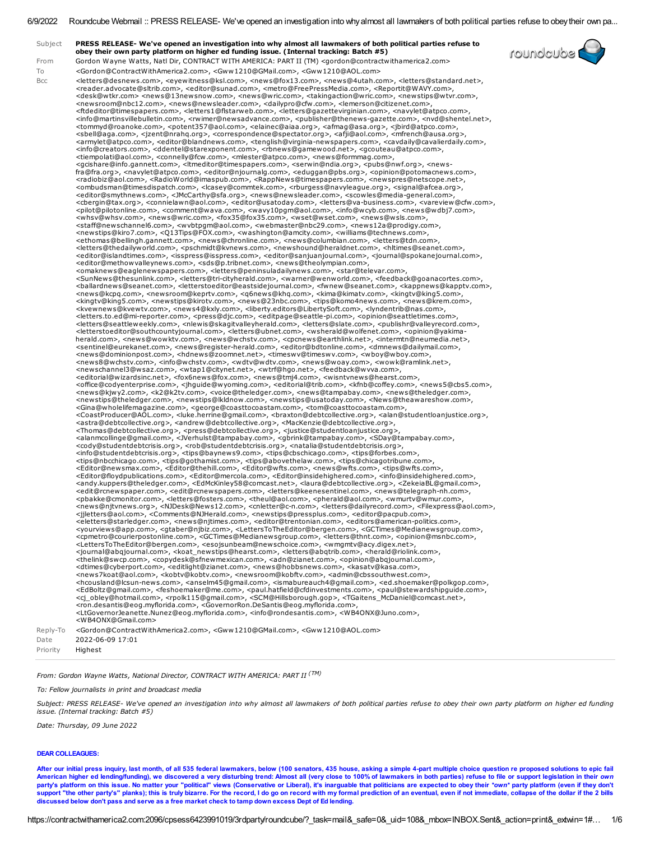roundcube

Subject PRESS RELEASE- We've opened an investigation into why almost all lawmakers of both political parties refuse to obey their own party platform on higher ed funding issue. (Internal tracking: Batch #5) From Gordon Wayne Watts, Natl Dir, CONTRACT WITH AMERICA: PART II (TM) <gordon@contractwithamerica2.com>



From: Gordon Wayne Watts, National Director, CONTRACT WITH AMERICA: PART II <sup>(TM)</sup>

To: Fellow journalists in print and broadcast media

Subject: PRESS RELEASE- We've opened an investigation into why almost all lawmakers of both political parties refuse to obey their own party platform on higher ed funding issue. (Internal tracking: Batch #5)

Date: Thursday, 09 June 2022

### DEAR COLLEAGUES:

After our initial press inquiry, last month, of all 535 federal lawmakers, below (100 senators, 435 house, asking a simple 4-part multiple choice question re proposed solutions to epic fail American higher ed lending/funding), we discovered a very disturbing trend: Almost all (very close to 100% of lawmakers in both parties) refuse to file or support legislation in their own party's platform on this issue. No matter your "political" views (Conservative or Liberal), it's inarguable that politicians are expected to obey their \*own\* party platform (even if they don't support "the other party's" planks); this is truly bizarre. For the record, I do go on record with my formal prediction of an eventual, even if not immediate, collapse of the dollar if the 2 bills discussed below don't pass and serve as a free market check to tamp down excess Dept of Ed lending.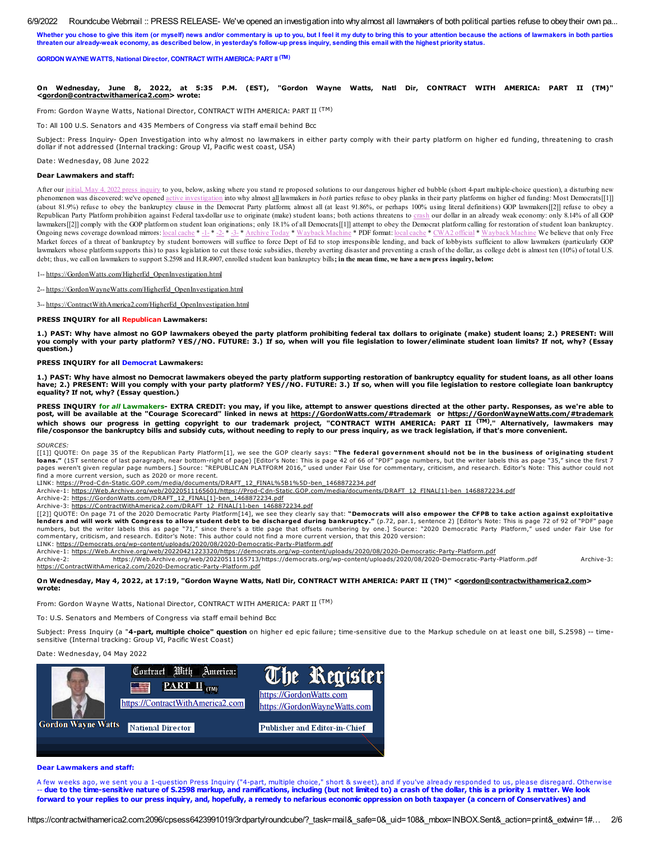Whether you chose to give this item (or myself) news and/or commentary is up to you, but I feel it my duty to bring this to your attention because the actions of lawmakers in both parties threaten our already-weak economy, as described below, in yesterday's follow-up press inquiry, sending this email with the highest priority status.

## GORDON WAYNE WATTS, National Director, CONTRACT WITH AMERICA: PART II<sup>(TM)</sup>

## On Wednesday, June 8, 2022, at 5:35 P.M. (EST), "Gordon Wayne Watts, Natl Dir, CONTRACT WITH AMERICA: PART II (TM)" [<gordon@contractwithamerica2.com](mailto:gordon@contractwithamerica2.com)> wrote:

From: Gordon Wayne Watts, National Director, CONTRACT WITH AMERICA: PART II <sup>(TM)</sup>

To: All 100 U.S. Senators and 435 Members of Congress via staff email behind Bcc

Subject: Press Inquiry- Open Investigation into why almost no lawmakers in either party comply with their party platform on higher ed funding, threatening to crash dollar if not addressed (Internal tracking: Group VI, Pacific west coast, USA)

Date: Wednesday, 08 June 2022

#### Dear Lawmakers and staff:

After our initial, May 4, 2022 press [inquiry](https://gordonwaynewatts.com/#trademark) to you, below, asking where you stand re proposed solutions to our dangerous higher ed bubble (short 4-part multiple-choice question), a disturbing new phenomenon was discovered: we've opened active [investigation](https://gordonwaynewatts.com/HigherEd_OpenInvestigation.html) into why almost all lawmakers in both parties refuse to obey planks in their party platforms on higher ed funding: Most Democrats[[1]] (about 81.9%) refuse to obey the bankruptcy clause in the Democrat Party platform; almost all (at least 91.86%, or perhaps 100% using literal definitions) GOP lawmakers[[2]] refuse to obey a Republican Party Platform prohibition against Federal tax-dollar use to originate (make) student loans; both actions threatens to [crash](https://gordonwaynewatts.com/#crash) our dollar in an already weak economy: only 8.14% of all GOP lawmakers[[2]] comply with the GOP platform on student loan originations; only 18.1% of all Democrats[[1]] attempt to obey the Democrat platform calling for restoration of student loan bankruptcy. Ongoing news coverage download mirrors: <u>local [cache](https://gordonwaynewatts.com/HigherEd_OpenInvestigation.pdf)</u> \*  $-1$  \*  $-2$  \*  $-3$  \*  $\pm$  [Archive](https://archive.ph/XaO6f) Today \* [Wayback](https://web.archive.org/web/20220607224216/https://contractwithamerica2.com/FannyDeregulation/HigherEd_OpenInvestigation.pdf) Machine \* PDF format: local cache \* [CWA2](https://contractwithamerica2.com/FannyDeregulation/HigherEd_OpenInvestigation.pdf) official \* Wayback Machine We believe that only Free Market forces of a threat of bankruptcy by student borrowers will suffice to force Dept of Ed to stop irresponsible lending, and back of lobbyists sufficient to allow lawmakers (particularly GOP lawmakers whose platform supports this) to pass legislation to cut these toxic subsidies, thereby averting disaster and preventing a crash of the dollar, as college debt is almost ten (10%) of total U.S. debt; thus, we call on lawmakers to support S.2598 and H.R.4907, enrolled student loan bankruptcy bills; in the mean time, we have a new press inquiry, below:

## 1-- [https://GordonWatts.com/HigherEd\\_OpenInvestigation.html](https://gordonwatts.com/HigherEd_OpenInvestigation.html)

2-- [https://GordonWayneWatts.com/HigherEd\\_OpenInvestigation.html](https://gordonwaynewatts.com/HigherEd_OpenInvestigation.html)

3-- [https://ContractWithAmerica2.com/HigherEd\\_OpenInvestigation.html](https://contractwithamerica2.com/HigherEd_OpenInvestigation.html)

## PRESS INQUIRY for all Republican Lawmakers:

1.) PAST: Why have almost no GOP lawmakers obeyed the party platform prohibiting federal tax dollars to originate (make) student loans; 2.) PRESENT: Will you comply with your party platform? YES//NO. FUTURE: 3.) If so, when will you file legislation to lower/eliminate student loan limits? If not, why? (Essay question.)

#### PRESS INQUIRY for all Democrat Lawmakers:

1.) PAST: Why have almost no Democrat lawmakers obeyed the party platform supporting restoration of bankruptcy equality for student loans, as all other loans<br>have; 2.) PRESENT: Will you comply with your party platform? YES equality? If not, why? (Essay question.)

PRESS INQUIRY for all Lawmakers- EXTRA CREDIT: you may, if you like, attempt to answer questions directed at the other party. Responses, as we're able to post, will be available at the "Courage Scorecard" linked in news at [https://GordonWatts.com/#trademark](https://gordonwatts.com/#trademark) or [https://GordonWayneWatts.com/#trademark](https://gordonwaynewatts.com/#trademark) which shows our progress in getting copyright to our trademark project, "CONTRACT WITH AMERICA: PART II (TM) ." Alternatively, lawmakers may file/cosponsor the bankruptcy bills and subsidy cuts, without needing to reply to our press inquiry, as we track legislation, if that's more convenient.

#### **SOURCES**

[[1]] QUOTE: On page 35 of the Republican Party Platform[1], we see the GOP clearly says: "The federal government should not be in the business of originating student loans." (1ST sentence of last paragraph, near bottom-right of page) [Editor's Note: This is page 42 of 66 of "PDF" page numbers, but the writer labels this as page "35," since the first 7 pages weren't given regular page numbers.] Source: "REPUBLICAN PLATFORM 2016," used under Fair Use for commentary, criticism, and research. Editor's Note: This author could not find a more current version, such as 2020 or more recent.

LINK: <u>[https://Prod-Cdn-Static.GOP.com/media/documents/DRAFT\\_12\\_FINAL%5B1%5D-ben\\_1468872234.pdf](https://prod-cdn-static.gop.com/media/documents/DRAFT_12_FINAL%5B1%5D-ben_1468872234.pdf)</u><br>Archive-1: <u>https://Web.Archive.org/web/20220511165601/https://Prod-Cdn-Static.GOP.com/media/documents/DRAFT\_12\_FINAL[1]-ben\_</u>

- Archive-2: [https://GordonWatts.com/DRAFT\\_12\\_FINAL\[1\]-ben\\_1468872234.pdf](https://gordonwatts.com/DRAFT_12_FINAL[1]-ben_1468872234.pdf)
- Archive-3: [https://ContractWithAmerica2.com/DRAFT\\_12\\_FINAL\[1\]-ben\\_1468872234.pdf](https://contractwithamerica2.com/DRAFT_12_FINAL[1]-ben_1468872234.pdf)

[[2]] QUOTE: On page 71 of the 2020 Democratic Party Platform[14], we see they clearly say that: "Democrats will also empower the CFPB to take action against exploitative<br>lenders and will work with Congress to allow studen lenders and will work with Congress to allow student debt to be discharged during bankruptcy." (p.72, par.1, sentence 2) [Editor's Note: This is page 72 of 92 of numbers, but the writer labels this as page "71," since there's a title page that offsets numbering by one.] Source: "2020 Democratic Party Platform," used under Fair Use for<br>commentary, criticism, and research. Editor's N LINK: [https://Democrats.org/wp-content/uploads/2020/08/2020-Democratic-Party-Platform.pdf](https://democrats.org/wp-content/uploads/2020/08/2020-Democratic-Party-Platform.pdf)

Archive-1: [https://Web.Archive.org/web/20220421223320/https://democrats.org/wp-content/uploads/2020/08/2020-Democratic-Party-Platform.pdf](https://web.archive.org/web/20220421223320/https://democrats.org/wp-content/uploads/2020/08/2020-Democratic-Party-Platform.pdf)

Archive-2: https://Web.Archive.org/web/20220511165713/https://democrats.org/wp-content/uploads/2020/08/2020-Democratic-Party-Platform.pdf Archive-3: [https://ContractWithAmerica2.com/2020-Democratic-Party-Platform.pdf](https://contractwithamerica2.com/2020-Democratic-Party-Platform.pdf)

#### On Wednesday, May 4, 2022, at 17:19, "Gordon Wayne Watts, Natl Dir, CONTRACT WITH AMERICA: PART II (TM)" [<gordon@contractwithamerica2.com](mailto:gordon@contractwithamerica2.com)> wrote:

From: Gordon Wayne Watts, National Director, CONTRACT WITH AMERICA: PART II <sup>(TM)</sup>

To: U.S. Senators and Members of Congress via staff email behind Bcc

Subject: Press Inquiry (a "**4-part, multiple choice" question** on higher ed epic failure; time-sensitive due to the Markup schedule on at least one bill, S.2598) -- time-<br>sensitive (Internal tracking: Group VI, Pacific Wes

# Date: Wednesday, 04 May 2022



## Dear Lawmakers and staff:

A few weeks ago, we sent you a 1-question Press Inquiry ("4-part, multiple choice," short & sweet), and if you've already responded to us, please disregard. Otherwise -- due to the time-sensitive nature of S.2598 markup, and ramifications, including (but not limited to) a crash of the dollar, this is a priority 1 matter. We look forward to your replies to our press inquiry, and, hopefully, a remedy to nefarious economic oppression on both taxpayer (a concern of Conservatives) and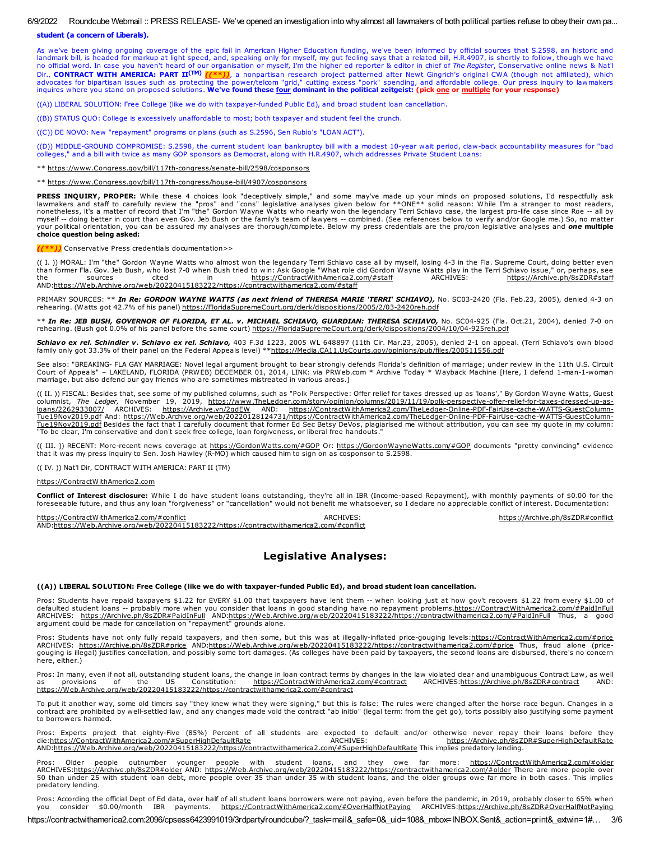As we've been giving ongoing coverage of the epic fail in American Higher Education funding, we've been informed by official sources that S.2598, an historic and landmark bill, is headed for markup at light speed, and, speaking only for myself, my gut feeling says that a related bill, H.R.4907, is shortly to follow, though we have<br>no official word. In case you haven't heard of our Dir., CONTRACT WITH AMERICA: PART II<sup>(TM)</sup> [(\*\*)), a nonpartisan research project patterned after Newt Gingrich's original CWA (though not affiliated), which<br>advocates for bipartisan issues such as protecting the power/tel

((A)) LIBERAL SOLUTION: Free College (like we do with taxpayer-funded Public Ed), and broad student loan cancellation.

((B)) STATUS QUO: College is excessively unaffordable to most; both taxpayer and student feel the crunch.

((C)) DE NOVO: New "repayment" programs or plans (such as S.2596, Sen Rubio's "LOAN ACT").

((D)) MIDDLE-GROUND COMPROMISE: S.2598, the current student loan bankruptcy bill with a modest 10-year wait period, claw-back accountability measures for "bad colleges," and a bill with twice as many GOP sponsors as Democrat, along with H.R.4907, which addresses Private Student Loans:

\*\* [https://www.Congress.gov/bill/117th-congress/senate-bill/2598/cosponsors](https://www.congress.gov/bill/117th-congress/senate-bill/2598/cosponsors)

\*\* [https://www.Congress.gov/bill/117th-congress/house-bill/4907/cosponsors](https://www.congress.gov/bill/117th-congress/house-bill/4907/cosponsors)

**PRESS INQUIRY, PROPER:** While these 4 choices look "deceptively simple," and some may've made up your minds on proposed solutions, I'd respectfully ask<br>lawmakers and staff to carefully review the "pros" and "cons" legisla your political orientation, you can be assured my analyses are thorough/complete. Below my press credentials are the pro/con legislative analyses and one multiple choice question being asked:

((\*\*)) Conservative Press credentials documentation>>

(( I. )) MORAL: I'm "the" Gordon Wayne Watts who almost won the legendary Terri Schiavo case all by myself, losing 4-3 in the Fla. Supreme Court, doing better even<br>than former Fla. Gov. Jeb Bush, who lost 7-0 when Bush tri the sources cited in [https://ContractWithAmerica2.com/#staff](https://contractwithamerica2.com/#staff) ARCHIVES: [https://Archive.ph/8sZDR#staff](https://archive.ph/8sZDR#staff) AND[:https://Web.Archive.org/web/20220415183222/https://contractwithamerica2.com/#staff](https://web.archive.org/web/20220415183222/https://contractwithamerica2.com/#staff)

PRIMARY SOURCES: \*\* In Re: GORDON WAYNE WATTS (as next friend of THERESA MARIE 'TERRI' SCHIAVO), No. SC03-2420 (Fla. Feb.23, 2005), denied 4-3 on rehearing. (Watts got 42.7% of his panel) [https://FloridaSupremeCourt.org/clerk/dispositions/2005/2/03-2420reh.pdf](https://floridasupremecourt.org/clerk/dispositions/2005/2/03-2420reh.pdf)

\*\* In Re: JEB BUSH, GOVERNOR OF FLORIDA, ET AL. v. MICHAEL SCHIAVO, GUARDIAN: THERESA SCHIAVO, No. SC04-925 (Fla. Oct.21, 2004), denied 7-0 on rehearing. (Bush got 0.0% of his panel before the same court) [https://FloridaSupremeCourt.org/clerk/dispositions/2004/10/04-925reh.pdf](https://floridasupremecourt.org/clerk/dispositions/2004/10/04-925reh.pdf)

**Schiavo ex rel. Schindler v. Schiavo ex rel. Schiavo,** 403 F.3d 1223, 2005 WL 648897 (11th Cir. Mar.23, 2005), denied 2-1 on appeal. (Terri Schiavo's own blood<br>family only got 33.3% of their panel on the Federal Appeals l

See also: "BREAKING- FLA GAY MARRIAGE: Novel legal argument brought to bear strongly defends Florida's definition of marriage; under review in the 11th U.S. Circuit<br>Court of Appeals" – LAKELAND, FLORIDA (PRWEB) DECEMBER 01 marriage, but also defend our gay friends who are sometimes mistreated in various areas.]

(( II. )) FISCAL: Besides that, see some of my published columns, such as "Polk Perspective: Offer relief for taxes dressed up as 'loans'," By Gordon Wayne Watts, Guest<br>columnist, *The* Ledger, November 19, 2019,<u>https://w</u> Novamina, Tuesday, Novamina, 19, 2002; https://Archive.vn/2gdEW AND: https://ContractWithAmerica2.com/TheLedger-Online-PDF-FairUse-cache-WATTS-GuestColumn-<br>Tue19Nov2019.pdf And: https://Web.Archive.org/web/20220128124731/h Tue19Nov2019.pdf Besides the fact that I carefully document that former Ed Sec Betsy DeVos, plagiarised me without attribution, you can see my quote in my column: To be clear, I'm conservative and don't seek free college, loan forgiveness, or liberal free handouts.

(( III. )) RECENT: More-recent news coverage at [https://GordonWatts.com/#GOP](https://gordonwatts.com/#GOP) Or: [https://GordonWayneWatts.com/#GOP](https://gordonwaynewatts.com/#GOP) documents "pretty convincing" evidence that it was my press inquiry to Sen. Josh Hawley (R-MO) which caused him to sign on as cosponsor to S.2598.

(( IV. )) Nat'l Dir, CONTRACT WITH AMERICA: PART II (TM)

## [https://ContractWithAmerica2.com](https://contractwithamerica2.com/)

**Conflict of Interest disclosure:** While I do have student loans outstanding, they're all in IBR (Income-based Repayment), with monthly payments of \$0.00 for the<br>foreseeable future, and thus any loan "forgiveness" or "canc

[https://ContractWithAmerica2.com/#conflict](https://contractwithamerica2.com/#conflict) Archive.com/#conflict Archive.ph/8sZDR#conflict ARCHIVES: [https://Archive.ph/8sZDR#conflict](https://archive.ph/8sZDR#conflict) AND[:https://Web.Archive.org/web/20220415183222/https://contractwithamerica2.com/#conflict](https://web.archive.org/web/20220415183222/https://contractwithamerica2.com/#conflict)

# Legislative Analyses:

#### ((A)) LIBERAL SOLUTION: Free College (like we do with taxpayer-funded Public Ed), and broad student loan cancellation.

Pros: Students have repaid taxpayers \$1.22 for EVERY \$1.00 that taxpayers have lent them -- when looking just at how gov't recovers \$1.22 from every \$1.00 of defaulted student loans -- probably more when you consider that loans in good standing have no repayment problems.<u>https://ContractWithAmerica2.com/#PaidInFull</u><br>ARCHIVES: [https://Archive.ph/8sZDR#PaidInFull](https://archive.ph/8sZDR#PaidInFull) AND:<u>https://We</u> argument could be made for cancellation on "repayment" grounds alone.

Pros: Students have not only fully repaid taxpayers, and then some, but this was at illegally-inflated price-gouging levels:<u>https://ContractWithAmerica2.com/#price</u><br>ARCHIVES: [https://Archive.ph/8sZDR#price](https://archive.ph/8sZDR#price) AND:https://Web gouging is illegal) justifies cancellation, and possibly some tort damages. (As colleges have been paid by taxpayers, the second loans are disbursed, there's no concern here, either.)

Pros: In many, even if not all, outstanding student loans, the change in loan contract terms by changes in the law violated clear and unambiguous Contract Law, as well<br>as provisions of the US Constitution: <u>https://Contrac</u> [https://Web.Archive.org/web/20220415183222/https://contractwithamerica2.com/#contract](https://web.archive.org/web/20220415183222/https://contractwithamerica2.com/#contract)

To put it another way, some old timers say "they knew what they were signing," but this is false: The rules were changed after the horse race begun. Changes in a contract are prohibited by well-settled law, and any changes made void the contract "ab initio" (legal term: from the get go), torts possibly also justifying some payment to borrowers harmed.

Pros: Experts project that eighty-Five (85%) Percent of all students are expected to default and/or otherwise never repay their loans before they<br>die:<u>https://ContractWithAmerica2.com/#SuperHighDefaultRate</u> AND[:https://Web.Archive.org/web/20220415183222/https://contractwithamerica2.com/#SuperHighDefaultRate](https://web.archive.org/web/20220415183222/https://contractwithamerica2.com/#SuperHighDefaultRate) This implies predatory lending.

Pros: Older people outnumber younger people with student loans, and they owe far more: <u>[https://ContractWithAmerica2.com/#older](https://contractwithamerica2.com/#older)</u><br>ARCHIVES:<u>https://Archive.ph/8sZDR#older</u> AND: <u>https://Web.Archive.org/web/20220415183222/ht</u> predatory lending.

Pros: According the official Dept of Ed data, over half of all student loans borrowers were not paying, even before the pandemic, in 2019, probably closer to 65% when<br>you consider \$0.00/month IBR payments. <u>https://Contrac</u>

https://contractwithamerica2.com:2096/cpsess6423991019/3rdparty/roundcube/?\_task=mail&\_safe=0&\_uid=108&\_mbox=INBOX.Sent&\_action=print&\_extwin=1#… 3/6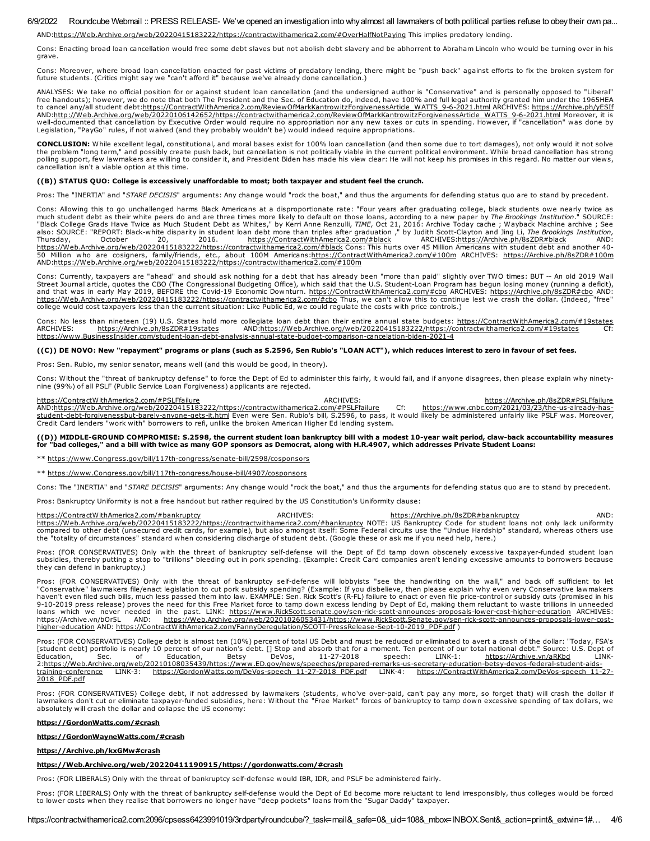AND[:https://Web.Archive.org/web/20220415183222/https://contractwithamerica2.com/#OverHalfNotPaying](https://web.archive.org/web/20220415183222/https://contractwithamerica2.com/#OverHalfNotPaying) This implies predatory lending.

Cons: Enacting broad loan cancellation would free some debt slaves but not abolish debt slavery and be abhorrent to Abraham Lincoln who would be turning over in his grave.

Cons: Moreover, where broad loan cancellation enacted for past victims of predatory lending, there might be "push back" against efforts to fix the broken system for future students. (Critics might say we "can't afford it" because we've already done cancellation.)

ANALYSES: We take no official position for or against student loan cancellation (and the undersigned author is "Conservative" and is personally opposed to "Liberal" free handouts); however, we do note that both The President and the Sec. of Education do, indeed, have 100% and full legal authority granted him under the 1965HEA to cancel any/all student debt[:https://ContractWithAmerica2.com/ReviewOfMarkKantrowitzForgivenessArticle\\_WATTS\\_9-6-2021.html](https://contractwithamerica2.com/ReviewOfMarkKantrowitzForgivenessArticle_WATTS_9-6-2021.html) ARCHIVES: [https://Archive.ph/yESIf](https://archive.ph/yESIf) AND[:http://Web.Archive.org/web/20220106142652/https://contractwithamerica2.com/ReviewOfMarkKantrowitzForgivenessArticle\\_WATTS\\_9-6-2021.html](http://web.archive.org/web/20220106142652/https://contractwithamerica2.com/ReviewOfMarkKantrowitzForgivenessArticle_WATTS_9-6-2021.html) Moreover, it is well-documented that cancellation by Executive Order would require no appropriation nor any new taxes or cuts in spending. However, if "cancellation" was done by Legislation, "PayGo" rules, if not waived (and they probably wouldn't be) would indeed require appropriations.

CONCLUSION: While excellent legal, constitutional, and moral bases exist for 100% loan cancellation (and then some due to tort damages), not only would it not solve the problem "long term," and possibly create push back, but cancellation is not politically viable in the current political environment. While broad cancellation has strong<br>polling support, few lawmakers are willing to con cancellation isn't a viable option at this time.

## ((B)) STATUS QUO: College is excessively unaffordable to most; both taxpayer and student feel the crunch.

Pros: The "INERTIA" and "STARE DECISIS" arguments: Any change would "rock the boat," and thus the arguments for defending status quo are to stand by precedent.

Cons: Allowing this to go unchallenged harms Black Americans at a disproportionate rate: "Four years after graduating college, black students owe nearly twice as<br>much student debt as their white peers do and are three time "Black College Grads Have Twice as Much Student Debt as Whites," by Kerri Anne Renzulli, *TIME,* Oct 21, 2016: Archive Today cache ; Wayback Machine archive ; See<br>also: SOURCE: "REPORT: Black-white disparity in student loa Thursday, October 20, 2016. <u>[https://ContractWithAmerica2.com/#black](https://contractwithamerica2.com/#black)</u> ARCHIVES[:https://Archive.ph/8sZDR#black](https://archive.ph/8sZDR#black) AND: [https://Web.Archive.org/web/20220415183222/https://contractwithamerica2.com/#black](https://web.archive.org/web/20220415183222/https://contractwithamerica2.com/#black) Cons: This hurts over 45 Million Americans with student debt and another 40- 50 Million who are cosigners, family/friends, etc., about 100M Americans[:https://ContractWithAmerica2.com/#100m](https://contractwithamerica2.com/#100m) ARCHIVES: [https://Archive.ph/8sZDR#100m](https://archive.ph/8sZDR#100m) AND[:https://Web.Archive.org/web/20220415183222/https://contractwithamerica2.com/#100m](https://web.archive.org/web/20220415183222/https://contractwithamerica2.com/#100m)

Cons: Currently, taxpayers are "ahead" and should ask nothing for a debt that has already been "more than paid" slightly over TWO times: BUT -- An old 2019 Wall<br>Street Journal article, quotes the CBO (The Congressional Bud [https://Web.Archive.org/web/20220415183222/https://contractwithamerica2.com/#cbo](https://web.archive.org/web/20220415183222/https://contractwithamerica2.com/#cbo) Thus, we can't allow this to continue lest we crash the dollar. (Indeed, college would cost taxpayers less than the current situation: Like Public Ed, we could regulate the costs with price controls.)

Cons: No less than nineteen (19) U.S. States hold more collegiate loan debt than their entire annual state budgets: [https://ContractWithAmerica2.com/#19states](https://contractwithamerica2.com/#19states) ARCHIVES: [https://Archive.ph/8sZDR#19states](https://archive.ph/8sZDR#19states) AND[:https://Web.Archive.org/web/20220415183222/https://contractwithamerica2.com/#19states](https://web.archive.org/web/20220415183222/https://contractwithamerica2.com/#19states) Cf: [https://www.BusinessInsider.com/student-loan-debt-analysis-annual-state-budget-comparison-cancelation-biden-2021-4](https://www.businessinsider.com/student-loan-debt-analysis-annual-state-budget-comparison-cancelation-biden-2021-4)

## ((C)) DE NOVO: New "repayment" programs or plans (such as S.2596, Sen Rubio's "LOAN ACT"), which reduces interest to zero in favour of set fees.

Pros: Sen. Rubio, my senior senator, means well (and this would be good, in theory).

Cons: Without the "threat of bankruptcy defense" to force the Dept of Ed to administer this fairly, it would fail, and if anyone disagrees, then please explain why ninetynine (99%) of all PSLF (Public Service Loan Forgiveness) applicants are rejected.

[https://ContractWithAmerica2.com/#PSLFfailure](https://contractwithamerica2.com/#PSLFfailure)<br>[AND:](https://www.cnbc.com/2021/03/23/the-us-already-has-student-debt-forgivenessbut-barely-anyone-gets-it.html)<u>[https://Web.Archive.org/web/20220415183222/https://contractwithamerica2.com/#PSLFfailure](https://web.archive.org/web/20220415183222/https://contractwithamerica2.com/#PSLFfailure)</u> Cf: <u>https://www.cnbc.com/2021/03/23/the-us-already-has-</u><br>student-debt-forgivenes Credit Card lenders "work with" borrowers to refi, unlike the broken American Higher Ed lending system.

## ((D)) MIDDLE-GROUND COMPROMISE: S.2598, the current student loan bankruptcy bill with a modest 10-year wait period, claw-back accountability measures for "bad colleges," and a bill with twice as many GOP sponsors as Democrat, along with H.R.4907, which addresses Private Student Loans:

\*\* [https://www.Congress.gov/bill/117th-congress/senate-bill/2598/cosponsors](https://www.congress.gov/bill/117th-congress/senate-bill/2598/cosponsors)

\*\* [https://www.Congress.gov/bill/117th-congress/house-bill/4907/cosponsors](https://www.congress.gov/bill/117th-congress/house-bill/4907/cosponsors)

Cons: The "INERTIA" and "STARE DECISIS" arguments: Any change would "rock the boat," and thus the arguments for defending status quo are to stand by precedent.

Pros: Bankruptcy Uniformity is not a free handout but rather required by the US Constitution's Uniformity clause:

[https://ContractWithAmerica2.com/#bankruptcy](https://contractwithamerica2.com/#bankruptcy) AND: ARCHIVES: [https://Archive.ph/8sZDR#bankruptcy](https://archive.ph/8sZDR#bankruptcy) AND: <u>[https://Web.Archive.org/web/20220415183222/https://contractwithamerica2.com/#bankruptcy](https://web.archive.org/web/20220415183222/https://contractwithamerica2.com/#bankruptcy)</u> NOTE: US Bankruptcy Code for student loans not only lack uniformity<br>compared to other debt (unsecured credit cards, for example), bu the "totality of circumstances" standard when considering discharge of student debt. (Google these or ask me if you need help, here.)

Pros: (FOR CONSERVATIVES) Only with the threat of bankruptcy self-defense will the Dept of Ed tamp down obscenely excessive taxpayer-funded student loan subsidies, thereby putting a stop to "trillions" bleeding out in pork spending. (Example: Credit Card companies aren't lending excessive amounts to borrowers because they can defend in bankruptcy.)

Pros: (FOR CONSERVATIVES) Only with the threat of bankruptcy self-defense will lobbyists "see the handwriting on the wall," and back off sufficient to let "Conservative" lawmakers file/enact legislation to cut pork subsidy spending? (Example: If you disbelieve, then please explain why even very Conservative lawmakers<br>haven't even filed such bills, much less passed them into 9-10-2019 press release) proves the need for this Free Market force to tamp down excess lending by Dept of Ed, making them reluctant to waste trillions in unneeded<br>loans which we never needed in the past. LINK: <u>h</u> higher-education AND: [https://ContractWithAmerica2.com/FannyDeregulation/SCOTT-PressRelease-Sept-10-2019\\_PDF.pdf](https://contractwithamerica2.com/FannyDeregulation/SCOTT-PressRelease-Sept-10-2019_PDF.pdf) )

Pros: (FOR CONSERVATIVES) College debt is almost ten (10%) percent of total US Debt and must be reduced or eliminated to avert a crash of the dollar: "Today, FSA's<br>[student debt] portfolio is nearly 10 percent of our natio 2:https://Web.Archive.org/web/20210108035439/https://www.ED.gov/news/speeches/prepared-remarks-us-secretary-education-betsy-devos-federal-student-aids-<br>training-conference LINK-3: https://GordonWatts.com/DeVos-speech 11-27 [https://GordonWatts.com/DeVos-speech\\_11-27-2018\\_PDF.pd](https://gordonwatts.com/DeVos-speech_11-27-2018_PDF.pdf)[f](https://contractwithamerica2.com/DeVos-speech_11-27-2018_PDF.pdf) 2018\_PDF.pdf

Pros: (FOR CONSERVATIVES) College debt, if not addressed by lawmakers (students, who've over-paid, can't pay any more, so forget that) will crash the dollar if lawmakers don't cut or eliminate taxpayer-funded subsidies, here: Without the "Free Market" forces of bankruptcy to tamp down excessive spending of tax dollars, we absolutely will crash the dollar and collapse the US economy:

## [https://GordonWatts.com/#crash](https://gordonwatts.com/#crash)

## [https://GordonWayneWatts.com/#crash](https://gordonwaynewatts.com/#crash)

## [https://Archive.ph/kxGMw#crash](https://archive.ph/kxGMw#crash)

## [https://Web.Archive.org/web/20220411190915/https://gordonwatts.com/#crash](https://web.archive.org/web/20220411190915/https://gordonwatts.com/#crash)

Pros: (FOR LIBERALS) Only with the threat of bankruptcy self-defense would IBR, IDR, and PSLF be administered fairly.

Pros: (FOR LIBERALS) Only with the threat of bankruptcy self-defense would the Dept of Ed become more reluctant to lend irresponsibly, thus colleges would be forced to lower costs when they realise that borrowers no longer have "deep pockets" loans from the "Sugar Daddy" taxpayer.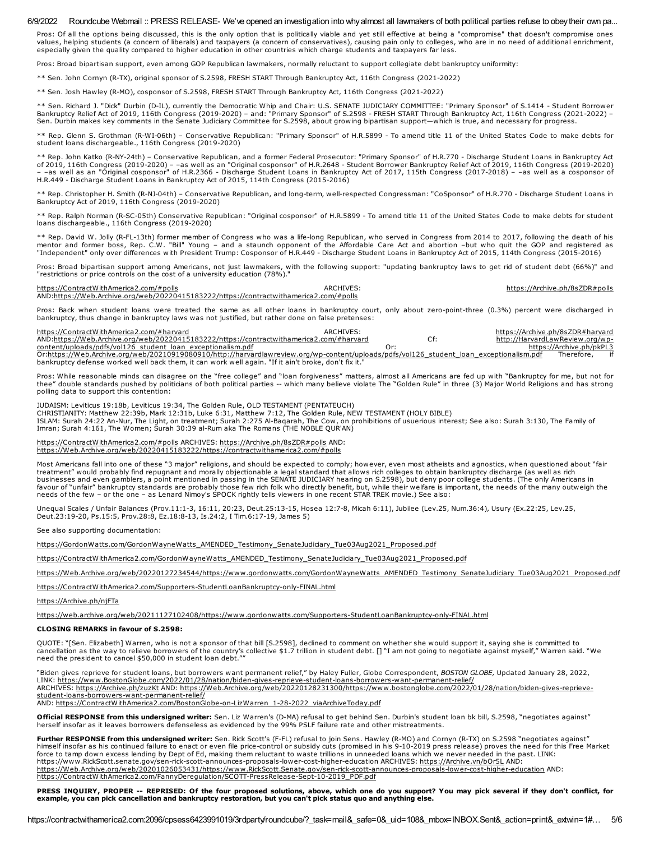Pros: Of all the options being discussed, this is the only option that is politically viable and yet still effective at being a "compromise" that doesn't compromise ones values, helping students (a concern of liberals) and taxpayers (a concern of conservatives), causing pain only to colleges, who are in no need of additional enrichment, especially given the quality compared to higher education in other countries which charge students and taxpayers far less.

Pros: Broad bipartisan support, even among GOP Republican lawmakers, normally reluctant to support collegiate debt bankruptcy uniformity:

\*\* Sen. John Cornyn (R-TX), original sponsor of S.2598, FRESH START Through Bankruptcy Act, 116th Congress (2021-2022)

\*\* Sen. Josh Hawley (R-MO), cosponsor of S.2598, FRESH START Through Bankruptcy Act, 116th Congress (2021-2022)

\*\* Sen. Richard J. "Dick" Durbin (D-IL), currently the Democratic Whip and Chair: U.S. SENATE JUDICIARY COMMITTEE: "Primary Sponsor" of S.1414 - Student Borrower Bankruptcy Relief Act of 2019, 116th Congress (2019-2020) – and: "Primary Sponsor" of S.2598 - FRESH START Through Bankruptcy Act, 116th Congress (2021-2022) –<br>Sen. Durbin makes key comments in the Senate Judiciary Committ

\*\* Rep. Glenn S. Grothman (R-WI-06th) – Conservative Republican: "Primary Sponsor" of H.R.5899 - To amend title 11 of the United States Code to make debts for student loans dischargeable., 116th Congress (2019-2020)

Rep. John Katko (R-NY-24th) – Conservative Republican, and a former Federal Prosecutor: "Primary Sponsor" of H.R.770 - Discharge Student Loans in Bankruptcy Act of 2019, 116th Congress (2019-2020) – –as well as an "Original cosponsor" of H.R.2648 - Student Borrower Bankruptcy Relief Act of 2019, 116th Congress (2019-2020)<br>– –as well as an "Original cosponsor" of H.R.2366 - Dischar

\*\* Rep. Christopher H. Smith (R-NJ-04th) – Conservative Republican, and long-term, well-respected Congressman: "CoSponsor" of H.R.770 - Discharge Student Loans in Bankruptcy Act of 2019, 116th Congress (2019-2020)

\*\* Rep. Ralph Norman (R-SC-05th) Conservative Republican: "Original cosponsor" of H.R.5899 - To amend title 11 of the United States Code to make debts for student loans dischargeable., 116th Congress (2019-2020)

\*\* Rep. David W. Jolly (R-FL-13th) former member of Congress who was a life-long Republican, who served in Congress from 2014 to 2017, following the death of his<br>mentor and former boss, Rep. C.W. "Bill" Young – and a staun

Pros: Broad bipartisan support among Americans, not just lawmakers, with the following support: "updating bankruptcy laws to get rid of student debt (66%)" and "restrictions or price controls on the cost of a university education (78%)."

| https://ContractWithAmerica2.com/#polls                                                | ARCHIVES. | https://Archive.ph/8sZDR#polls |
|----------------------------------------------------------------------------------------|-----------|--------------------------------|
| AND:https://Web.Archive.org/web/20220415183222/https://contractwithamerica2.com/#polls |           |                                |

Pros: Back when student loans were treated the same as all other loans in bankruptcy court, only about zero-point-three (0.3%) percent were discharged in bankruptcy, thus change in bankruptcy laws was not justified, but rather done on false pretenses:

[https://ContractWithAmerica2.com/#harvard](https://contractwithamerica2.com/#harvard)<br>https://web.Archive.org/web/20220415183222/https://contractwithamerica2.com/#harvard Cf: http://HarvardLawReview.org/wphttps://Web.Archive.org/web/20220415183222/https://contractwithamerica2.com/#harvard Or: [https://Archive.ph/pkPL3](https://archive.ph/pkPL3)<br>Or:<u>https://Web.Archive.org/web/20210919080910/http://Archive.ph/pkPL3<br>Or:https://Web.Archive.org/web/2021091919080910/http://harvardlawreview.org/wp-content/uploads/pdfs/vol126\_student\_loan\_e</u>

Pros: While reasonable minds can disagree on the "free college" and "loan forgiveness" matters, almost all Americans are fed up with "Bankruptcy for me, but not for<br>thee" double standards pushed by politicians of both poli polling data to support this contention:

JUDAISM: Leviticus 19:18b, Leviticus 19:34, The Golden Rule, OLD TESTAMENT (PENTATEUCH)

CHRISTIANITY: Matthew 22:39b, Mark 12:31b, Luke 6:31, Matthew 7:12, The Golden Rule, NEW TESTAMENT (HOLY BIBLE)

ISLAM: Surah 24:22 An-Nur, The Light, on treatment; Surah 2:275 Al-Baqarah, The Cow, on prohibitions of usuerious interest; See also: Surah 3:130, The Family of<br>Imran; Surah 4:161, The Women; Surah 30:39 al-Rum aka The Rom

# ContractWithAmerica2.com/#polls ARCHIVES: [https://Archive.ph/8sZDR#polls](https://archive.ph/8sZDR#polls) AND:

[https://Web.Archive.org/web/20220415183222/https://contractwithamerica2.com/#polls](https://web.archive.org/web/20220415183222/https://contractwithamerica2.com/#polls)

Most Americans fall into one of these "3 major" religions, and should be expected to comply; however, even most atheists and agnostics, when questioned about "fair treatment" would probably find repugnant and morally objectionable a legal standard that allows rich colleges to obtain bankruptcy discharge (as well as rich<br>businesses and even gamblers, a point mentioned in passing in th favour of "unfair" bankruptcy standards are probably those few rich folk who directly benefit, but, while their welfare is important, the needs of the many outweigh the<br>needs of the few – or the one – as Lenard Nimoy's SPO

Unequal Scales / Unfair Balances (Prov.11:1-3, 16:11, 20:23, Deut.25:13-15, Hosea 12:7-8, Micah 6:11), Jubilee (Lev.25, Num.36:4), Usury (Ex.22:25, Lev.25,<br>Deut.23:19-20, Ps.15:5, Prov.28:8, Ez.18:8-13, Is.24:2, I Tim.6:17

See also supporting documentation:

[https://GordonWatts.com/GordonWayneWatts\\_AMENDED\\_Testimony\\_SenateJudiciary\\_Tue03Aug2021\\_Proposed.pdf](https://gordonwatts.com/GordonWayneWatts_AMENDED_Testimony_SenateJudiciary_Tue03Aug2021_Proposed.pdf)

[https://ContractWithAmerica2.com/GordonWayneWatts\\_AMENDED\\_Testimony\\_SenateJudiciary\\_Tue03Aug2021\\_Proposed.pdf](https://contractwithamerica2.com/GordonWayneWatts_AMENDED_Testimony_SenateJudiciary_Tue03Aug2021_Proposed.pdf)

[https://Web.Archive.org/web/20220127234544/https://www.gordonwatts.com/GordonWayneWatts\\_AMENDED\\_Testimony\\_SenateJudiciary\\_Tue03Aug2021\\_Proposed.pdf](https://web.archive.org/web/20220127234544/https://www.gordonwatts.com/GordonWayneWatts_AMENDED_Testimony_SenateJudiciary_Tue03Aug2021_Proposed.pdf)

[https://ContractWithAmerica2.com/Supporters-StudentLoanBankruptcy-only-FINAL.html](https://contractwithamerica2.com/Supporters-StudentLoanBankruptcy-only-FINAL.html)

#### [https://Archive.ph/njFTa](https://archive.ph/njFTa)

<https://web.archive.org/web/20211127102408/https://www.gordonwatts.com/Supporters-StudentLoanBankruptcy-only-FINAL.html>

#### CLOSING REMARKS in favour of S.2598:

QUOTE: "[Sen. Elizabeth] Warren, who is not a sponsor of that bill [S.2598], declined to comment on whether she would support it, saying she is committed to<br>cancellation as the way to relieve borrowers of the country's col need the president to cancel \$50,000 in student loan debt.""

'Biden gives reprieve for student loans, but borrowers want permanent relief," by Haley Fuller, Globe Correspondent, BOSTON GLOBE, Updated January 28, 2022, LINK: [https://www.BostonGlobe.com/2022/01/28/nation/biden-gives-reprieve-student-loans-borrowers-want-permanent-relief/](https://www.bostonglobe.com/2022/01/28/nation/biden-gives-reprieve-student-loans-borrowers-want-permanent-relief/) ARCHIVES: [https://Archive.ph/zuzKt](https://archive.ph/zuzKt) AND: [https://Web.Archive.org/web/20220128231300/https://www.bostonglobe.com/2022/01/28/nation/biden-gives-reprieve](https://web.archive.org/web/20220128231300/https://www.bostonglobe.com/2022/01/28/nation/biden-gives-reprieve-student-loans-borrowers-want-permanent-relief/)student-loans-borrowers-want-permanent-relief/

AND: [https://ContractWithAmerica2.com/BostonGlobe-on-LizWarren\\_1-28-2022\\_viaArchiveToday.pdf](https://contractwithamerica2.com/BostonGlobe-on-LizWarren_1-28-2022_viaArchiveToday.pdf)

Official RESPONSE from this undersigned writer: Sen. Liz Warren's (D-MA) refusal to get behind Sen. Durbin's student loan bk bill, S.2598, "negotiates against" herself insofar as it leaves borrowers defenseless as evidenced by the 99% PSLF failure rate and other mistreatments.

**Further RESPONSE from this undersigned writer:** Sen. Rick Scott's (F-FL) refusal to join Sens. Hawley (R-MO) and Cornyn (R-TX) on S.2598 "negotiates against"<br>himself insofar as his continued failure to enact or even file force to tamp down excess lending by Dept of Ed, making them reluctant to waste trillions in unneeded loans which we never needed in the past. LINK: https://www.RickScott.senate.gov/sen-rick-scott-announces-proposals-lower-cost-higher-education ARCHIVES: [https://Archive.vn/bOr5L](https://archive.vn/bOr5L) AND: [https://Web.Archive.org/web/20201026053431/https://www.RickScott.Senate.gov/sen-rick-scott-announces-proposals-lower-cost-higher-education](https://web.archive.org/web/20201026053431/https://www.RickScott.Senate.gov/sen-rick-scott-announces-proposals-lower-cost-higher-education) AND: [https://ContractWithAmerica2.com/FannyDeregulation/SCOTT-PressRelease-Sept-10-2019\\_PDF.pdf](https://contractwithamerica2.com/FannyDeregulation/SCOTT-PressRelease-Sept-10-2019_PDF.pdf)

PRESS INQUIRY, PROPER -- REPRISED: Of the four proposed solutions, above, which one do you support? You may pick several if they don't conflict, for example, you can pick cancellation and bankruptcy restoration, but you can't pick status quo and anything else.